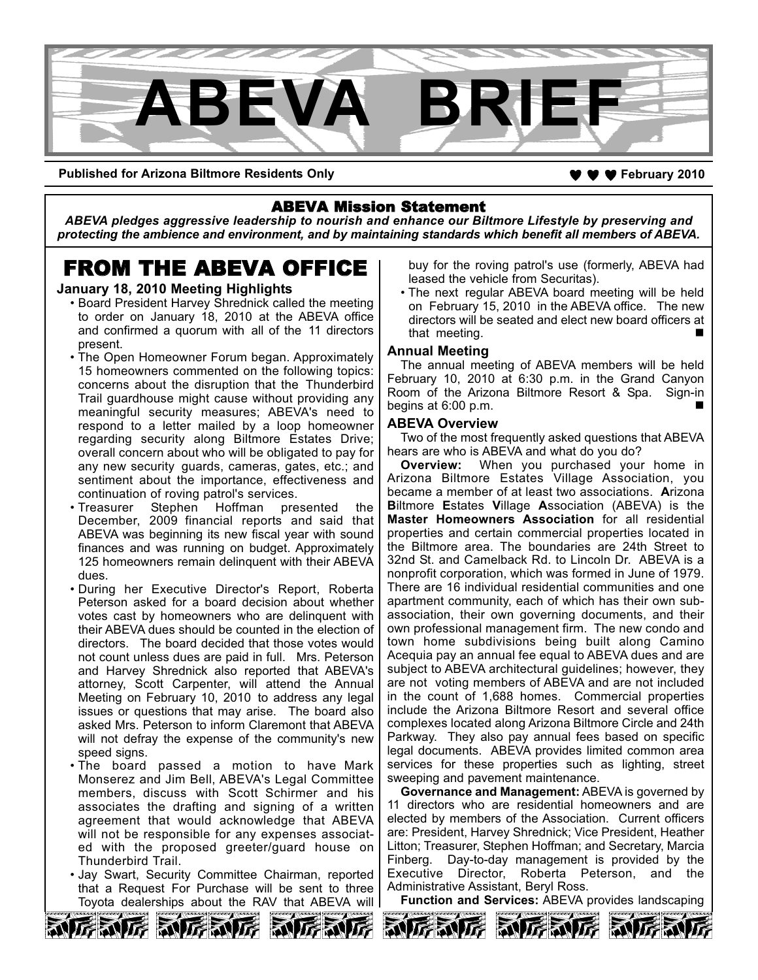

**Published for Arizona Biltmore Residents Only 70 and 2010 4 and 30 and 30 and 30 and 30 and 30 and 30 and 30 and 30 and 30 and 30 and 30 and 30 and 30 and 30 and 30 and 30 and 30 and 30 and 30 and 30 and 30 and 30 and 3** 

# ABEVA Mission Statement

*ABEVA pledges aggressive leadership to nourish and enhance our Biltmore Lifestyle by preserving and protecting the ambience and environment, and by maintaining standards which benefit all members of ABEVA.*

# FROM THE ABEVA OFFICE

### **January 18, 2010 Meeting Highlights**

- Board President Harvey Shrednick called the meeting to order on January 18, 2010 at the ABEVA office and confirmed a quorum with all of the 11 directors present.
- The Open Homeowner Forum began. Approximately 15 homeowners commented on the following topics: concerns about the disruption that the Thunderbird Trail guardhouse might cause without providing any meaningful security measures; ABEVA's need to respond to a letter mailed by a loop homeowner regarding security along Biltmore Estates Drive; overall concern about who will be obligated to pay for any new security guards, cameras, gates, etc.; and sentiment about the importance, effectiveness and continuation of roving patrol's services.
- Treasurer Stephen Hoffman presented the December, 2009 financial reports and said that ABEVA was beginning its new fiscal year with sound finances and was running on budget. Approximately 125 homeowners remain delinquent with their ABEVA dues.
- During her Executive Director's Report, Roberta Peterson asked for a board decision about whether votes cast by homeowners who are delinquent with their ABEVA dues should be counted in the election of directors. The board decided that those votes would not count unless dues are paid in full. Mrs. Peterson and Harvey Shrednick also reported that ABEVA's attorney, Scott Carpenter, will attend the Annual Meeting on February 10, 2010 to address any legal issues or questions that may arise. The board also asked Mrs. Peterson to inform Claremont that ABEVA will not defray the expense of the community's new speed signs.
- The board passed a motion to have Mark Monserez and Jim Bell, ABEVA's Legal Committee members, discuss with Scott Schirmer and his associates the drafting and signing of a written agreement that would acknowledge that ABEVA will not be responsible for any expenses associated with the proposed greeter/guard house on Thunderbird Trail.
- Jay Swart, Security Committee Chairman, reported that a Request For Purchase will be sent to three Toyota dealerships about the RAV that ABEVA will

和厉 动厉动厉

buy for the roving patrol's use (formerly, ABEVA had leased the vehicle from Securitas).

• The next regular ABEVA board meeting will be held on February 15, 2010 in the ABEVA office. The new directors will be seated and elect new board officers at that meeting.

#### **Annual Meeting**

The annual meeting of ABEVA members will be held February 10, 2010 at 6:30 p.m. in the Grand Canyon Room of the Arizona Biltmore Resort & Spa. Sign-in begins at  $6:00$  p.m.

#### **ABEVA Overview**

Two of the most frequently asked questions that ABEVA hears are who is ABEVA and what do you do?

**Overview:** When you purchased your home in Arizona Biltmore Estates Village Association, you became a member of at least two associations. **A**rizona **B**iltmore **E**states **V**illage **A**ssociation (ABEVA) is the **Master Homeowners Association** for all residential properties and certain commercial properties located in the Biltmore area. The boundaries are 24th Street to 32nd St. and Camelback Rd. to Lincoln Dr. ABEVA is a nonprofit corporation, which was formed in June of 1979. There are 16 individual residential communities and one apartment community, each of which has their own subassociation, their own governing documents, and their own professional management firm. The new condo and town home subdivisions being built along Camino Acequia pay an annual fee equal to ABEVA dues and are subject to ABEVA architectural guidelines; however, they are not voting members of ABEVA and are not included in the count of 1,688 homes. Commercial properties include the Arizona Biltmore Resort and several office complexes located along Arizona Biltmore Circle and 24th Parkway. They also pay annual fees based on specific legal documents. ABEVA provides limited common area services for these properties such as lighting, street sweeping and pavement maintenance.

**Governance and Management:** ABEVA is governed by 11 directors who are residential homeowners and are elected by members of the Association. Current officers are: President, Harvey Shrednick; Vice President, Heather Litton; Treasurer, Stephen Hoffman; and Secretary, Marcia Finberg. Day-to-day management is provided by the Executive Director, Roberta Peterson, and the Administrative Assistant, Beryl Ross.

**Function and Services:** ABEVA provides landscaping





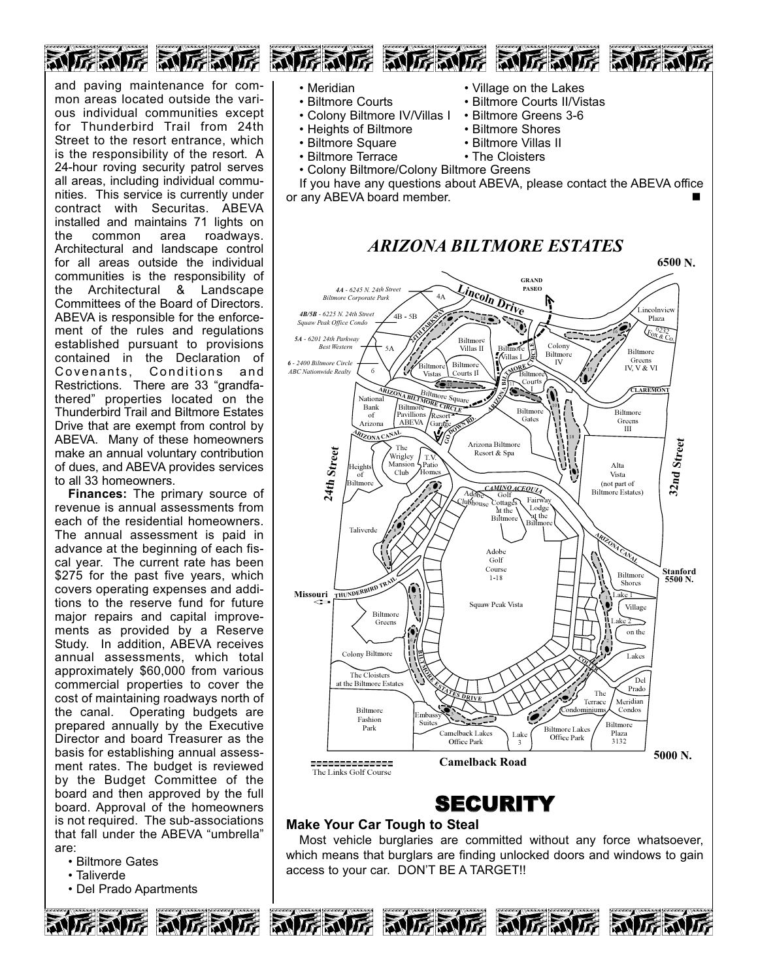

and paving maintenance for common areas located outside the various individual communities except for Thunderbird Trail from 24th Street to the resort entrance, which is the responsibility of the resort. A 24-hour roving security patrol serves all areas, including individual communities. This service is currently under contract with Securitas. ABEVA installed and maintains 71 lights on the common area roadways. Architectural and landscape control for all areas outside the individual communities is the responsibility of the Architectural & Landscape Committees of the Board of Directors. ABEVA is responsible for the enforcement of the rules and regulations established pursuant to provisions contained in the Declaration of Covenants, Conditions and Restrictions. There are 33 "grandfathered" properties located on the Thunderbird Trail and Biltmore Estates Drive that are exempt from control by ABEVA. Many of these homeowners make an annual voluntary contribution of dues, and ABEVA provides services to all 33 homeowners.

**Finances:** The primary source of revenue is annual assessments from each of the residential homeowners. The annual assessment is paid in advance at the beginning of each fiscal year. The current rate has been \$275 for the past five years, which covers operating expenses and additions to the reserve fund for future major repairs and capital improvements as provided by a Reserve Study. In addition, ABEVA receives annual assessments, which total approximately \$60,000 from various commercial properties to cover the cost of maintaining roadways north of the canal. Operating budgets are prepared annually by the Executive Director and board Treasurer as the basis for establishing annual assessment rates. The budget is reviewed by the Budget Committee of the board and then approved by the full board. Approval of the homeowners is not required. The sub-associations that fall under the ABEVA "umbrella" are:

- Biltmore Gates
- Taliverde
- Del Prado Apartments
- Meridian Village on the Lakes
- Biltmore Courts Biltmore Courts II/Vistas<br>• Colony Biltmore IV/Villas | Biltmore Greens 3-6
- Colony Biltmore IV/Villas I Biltmore Greens<br>• Heights of Biltmore Biltmore Shores
- Heights of Biltmore
- Biltmore Square Biltmore Villas II
- Biltmore Terrace The Cloisters
- Colony Biltmore/Colony Biltmore Greens

If you have any questions about ABEVA, please contact the ABEVA office or any ABEVA board member.

### *ARIZONA BILTMORE ESTATES*



### **Make Your Car Tough to Steal**

Most vehicle burglaries are committed without any force whatsoever, which means that burglars are finding unlocked doors and windows to gain access to your car. DON'T BE A TARGET!!







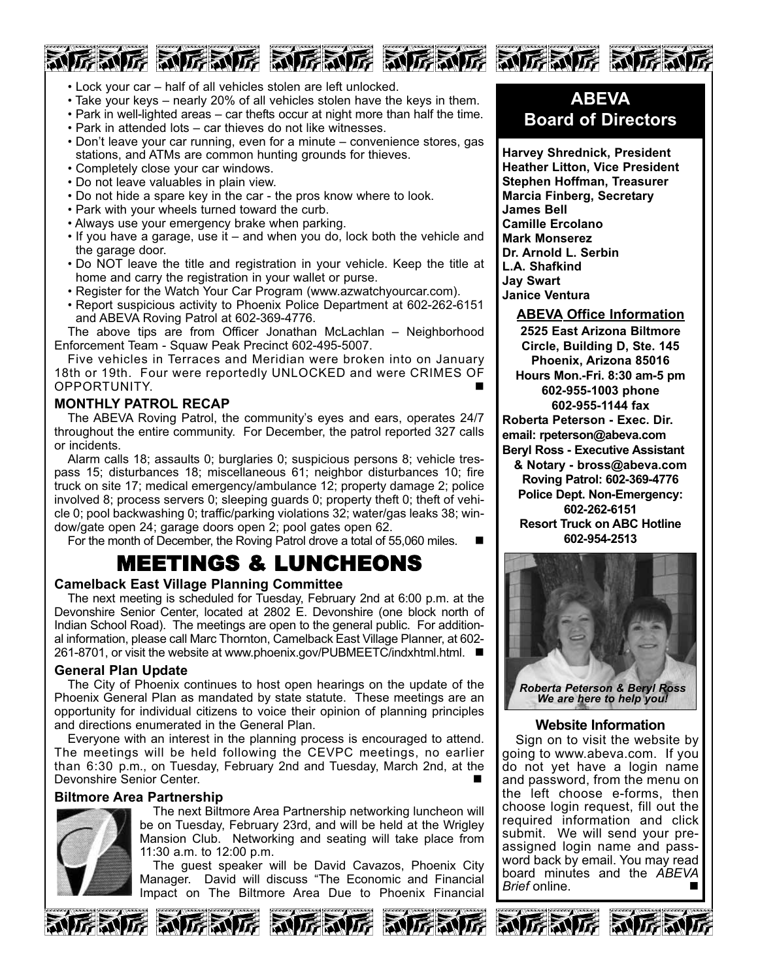# • Lock your car – half of all vehicles stolen are left unlocked.

• Take your keys – nearly 20% of all vehicles stolen have the keys in them.

厉威厉 动厉威厉 动厉威厉 动厉威厉 动厉威厉 动厉威

- Park in well-lighted areas car thefts occur at night more than half the time.
- Park in attended lots car thieves do not like witnesses.
- Don't leave your car running, even for a minute convenience stores, gas stations, and ATMs are common hunting grounds for thieves.
- Completely close your car windows.
- Do not leave valuables in plain view.
- Do not hide a spare key in the car the pros know where to look.
- Park with your wheels turned toward the curb.
- Always use your emergency brake when parking.
- If you have a garage, use it and when you do, lock both the vehicle and the garage door.
- Do NOT leave the title and registration in your vehicle. Keep the title at home and carry the registration in your wallet or purse.
- Register for the Watch Your Car Program (www.azwatchyourcar.com).
- Report suspicious activity to Phoenix Police Department at 602-262-6151 and ABEVA Roving Patrol at 602-369-4776.

The above tips are from Officer Jonathan McLachlan – Neighborhood Enforcement Team - Squaw Peak Precinct 602-495-5007.

Five vehicles in Terraces and Meridian were broken into on January 18th or 19th. Four were reportedly UNLOCKED and were CRIMES OF OPPORTUNITY.

# **MONTHLY PATROL RECAP**

The ABEVA Roving Patrol, the community's eyes and ears, operates 24/7 throughout the entire community. For December, the patrol reported 327 calls or incidents.

Alarm calls 18; assaults 0; burglaries 0; suspicious persons 8; vehicle trespass 15; disturbances 18; miscellaneous 61; neighbor disturbances 10; fire truck on site 17; medical emergency/ambulance 12; property damage 2; police involved 8; process servers 0; sleeping guards 0; property theft 0; theft of vehicle 0; pool backwashing 0; traffic/parking violations 32; water/gas leaks 38; window/gate open 24; garage doors open 2; pool gates open 62.

For the month of December, the Roving Patrol drove a total of 55,060 miles. -

# MEETINGS & LUNCHEONS

# **Camelback East Village Planning Committee**

The next meeting is scheduled for Tuesday, February 2nd at 6:00 p.m. at the Devonshire Senior Center, located at 2802 E. Devonshire (one block north of Indian School Road). The meetings are open to the general public. For additional information, please call Marc Thornton, Camelback East Village Planner, at 602- 261-8701, or visit the website at www.phoenix.gov/PUBMEETC∕indxhtml.html. ■

# **General Plan Update**

The City of Phoenix continues to host open hearings on the update of the Phoenix General Plan as mandated by state statute. These meetings are an opportunity for individual citizens to voice their opinion of planning principles and directions enumerated in the General Plan.

Everyone with an interest in the planning process is encouraged to attend. The meetings will be held following the CEVPC meetings, no earlier than 6:30 p.m., on Tuesday, February 2nd and Tuesday, March 2nd, at the Devonshire Senior Center.

# **Biltmore Area Partnership**



The next Biltmore Area Partnership networking luncheon will be on Tuesday, February 23rd, and will be held at the Wrigley Mansion Club. Networking and seating will take place from 11:30 a.m. to 12:00 p.m.

The guest speaker will be David Cavazos, Phoenix City Manager. David will discuss "The Economic and Financial Impact on The Biltmore Area Due to Phoenix Financial











**Harvey Shrednick, President Heather Litton, Vice President Stephen Hoffman, Treasurer Marcia Finberg, Secretary James Bell Camille Ercolano Mark Monserez Dr. Arnold L. Serbin L.A. Shafkind Jay Swart Janice Ventura**

**ABEVA Office Information**

**2525 East Arizona Biltmore Circle, Building D, Ste. 145 Phoenix, Arizona 85016 Hours Mon.-Fri. 8:30 am-5 pm 602-955-1003 phone 602-955-1144 fax Roberta Peterson - Exec. Dir. email: rpeterson@abeva.com Beryl Ross - Executive Assistant & Notary - bross@abeva.com Roving Patrol: 602-369-4776 Police Dept. Non-Emergency: 602-262-6151 Resort Truck on ABC Hotline**

**<sup>602-954-2513</sup>**



**Website Information**

Sign on to visit the website by going to www.abeva.com. If you do not yet have a login name and password, from the menu on the left choose e-forms, then choose login request, fill out the required information and click submit. We will send your preassigned login name and password back by email. You may read board minutes and the *ABEVA Brief* online.